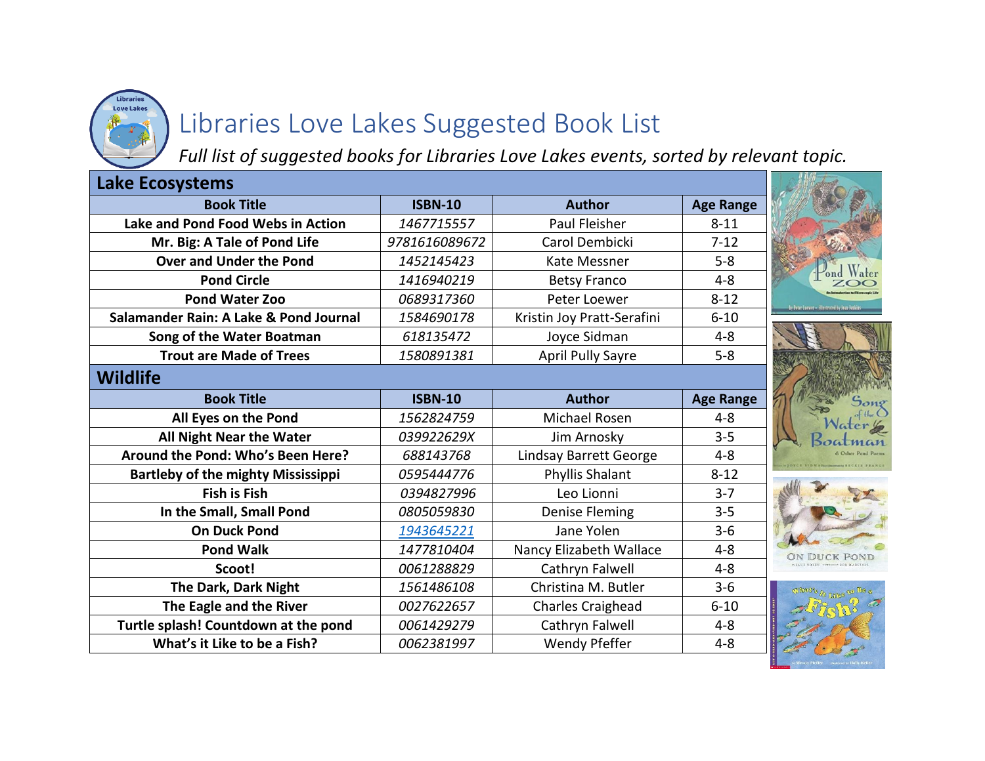

# Libraries Love Lakes Suggested Book List

*Full list of suggested books for Libraries Love Lakes events, sorted by relevant topic.*

| <b>Lake Ecosystems</b>                    |                |                               |                  |                                              |
|-------------------------------------------|----------------|-------------------------------|------------------|----------------------------------------------|
| <b>Book Title</b>                         | <b>ISBN-10</b> | <b>Author</b>                 | <b>Age Range</b> |                                              |
| Lake and Pond Food Webs in Action         | 1467715557     | Paul Fleisher                 | $8 - 11$         |                                              |
| Mr. Big: A Tale of Pond Life              | 9781616089672  | Carol Dembicki                | $7 - 12$         |                                              |
| <b>Over and Under the Pond</b>            | 1452145423     | Kate Messner                  | $5 - 8$          |                                              |
| <b>Pond Circle</b>                        | 1416940219     | <b>Betsy Franco</b>           | $4 - 8$          |                                              |
| <b>Pond Water Zoo</b>                     | 0689317360     | Peter Loewer                  | $8 - 12$         | by Peter Loewer - illustrated by Jean Jeakin |
| Salamander Rain: A Lake & Pond Journal    | 1584690178     | Kristin Joy Pratt-Serafini    | $6 - 10$         |                                              |
| Song of the Water Boatman                 | 618135472      | Joyce Sidman                  | $4 - 8$          |                                              |
| <b>Trout are Made of Trees</b>            | 1580891381     | <b>April Pully Sayre</b>      | $5 - 8$          |                                              |
| <b>Wildlife</b>                           |                |                               |                  |                                              |
| <b>Book Title</b>                         | <b>ISBN-10</b> | <b>Author</b>                 | <b>Age Range</b> |                                              |
| All Eyes on the Pond                      | 1562824759     | Michael Rosen                 | $4 - 8$          |                                              |
| All Night Near the Water                  | 039922629X     | Jim Arnosky                   | $3 - 5$          |                                              |
| Around the Pond: Who's Been Here?         | 688143768      | <b>Lindsay Barrett George</b> | $4 - 8$          |                                              |
| <b>Bartleby of the mighty Mississippi</b> | 0595444776     | Phyllis Shalant               | $8 - 12$         |                                              |
| <b>Fish is Fish</b>                       | 0394827996     | Leo Lionni                    | $3 - 7$          |                                              |
| In the Small, Small Pond                  | 0805059830     | Denise Fleming                | $3 - 5$          |                                              |
| <b>On Duck Pond</b>                       | 1943645221     | Jane Yolen                    | $3 - 6$          |                                              |
| <b>Pond Walk</b>                          | 1477810404     | Nancy Elizabeth Wallace       | $4 - 8$          |                                              |
| Scoot!                                    | 0061288829     | Cathryn Falwell               | $4 - 8$          |                                              |
| The Dark, Dark Night                      | 1561486108     | Christina M. Butler           | $3-6$            |                                              |
| The Eagle and the River                   | 0027622657     | Charles Craighead             | $6 - 10$         |                                              |
| Turtle splash! Countdown at the pond      | 0061429279     | Cathryn Falwell               | $4 - 8$          |                                              |
| What's it Like to be a Fish?              | 0062381997     | Wendy Pfeffer                 | $4 - 8$          |                                              |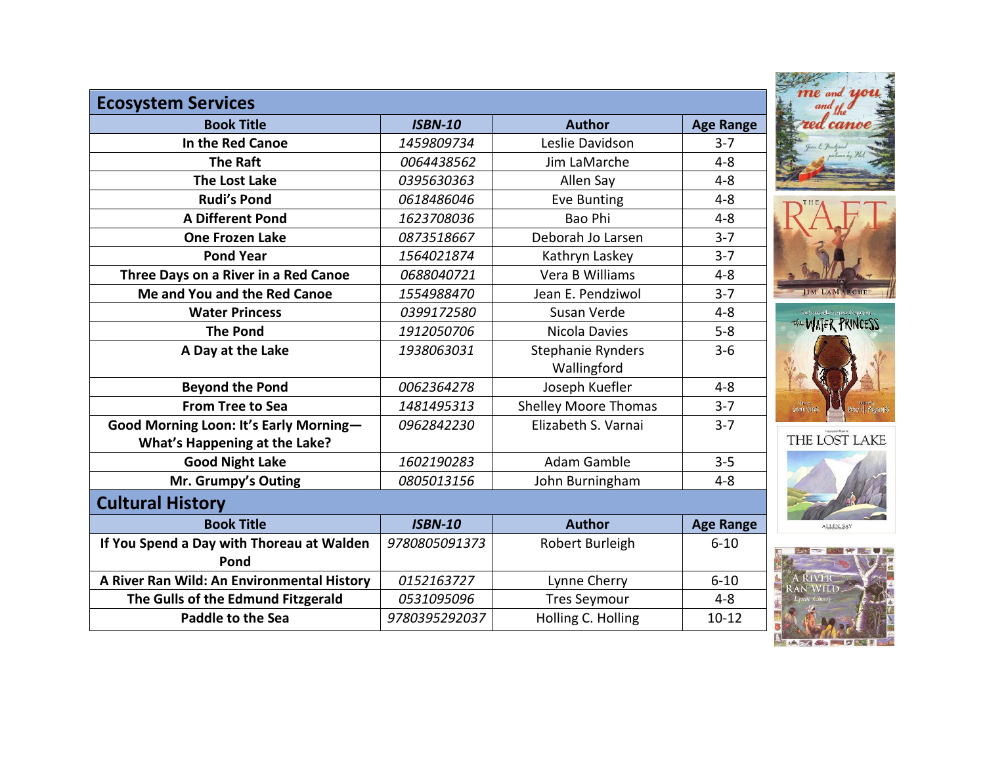| <b>Ecosystem Services</b><br><b>Book Title</b> | <b>ISBN-10</b> | <b>Author</b>               | <b>Age Range</b> |
|------------------------------------------------|----------------|-----------------------------|------------------|
| In the Red Canoe                               | 1459809734     | Leslie Davidson             | $3 - 7$          |
| <b>The Raft</b>                                | 0064438562     | Jim LaMarche                | $4 - 8$          |
| <b>The Lost Lake</b>                           | 0395630363     | Allen Say                   | $4 - 8$          |
| <b>Rudi's Pond</b>                             | 0618486046     | Eve Bunting                 | $4 - 8$          |
| <b>A Different Pond</b>                        | 1623708036     | Bao Phi                     | $4 - 8$          |
| <b>One Frozen Lake</b>                         | 0873518667     | Deborah Jo Larsen           | $3 - 7$          |
| <b>Pond Year</b>                               | 1564021874     | Kathryn Laskey              | $3 - 7$          |
| Three Days on a River in a Red Canoe           | 0688040721     | Vera B Williams             | $4 - 8$          |
| Me and You and the Red Canoe                   | 1554988470     | Jean E. Pendziwol           | $3 - 7$          |
| <b>Water Princess</b>                          | 0399172580     | Susan Verde                 | $4 - 8$          |
| <b>The Pond</b>                                | 1912050706     | Nicola Davies               | $5 - 8$          |
| A Day at the Lake                              | 1938063031     | Stephanie Rynders           | $3 - 6$          |
|                                                |                | Wallingford                 |                  |
| <b>Beyond the Pond</b>                         | 0062364278     | Joseph Kuefler              | $4 - 8$          |
| <b>From Tree to Sea</b>                        | 1481495313     | <b>Shelley Moore Thomas</b> | $3 - 7$          |
| Good Morning Loon: It's Early Morning-         | 0962842230     | Elizabeth S. Varnai         | $3 - 7$          |
| What's Happening at the Lake?                  |                |                             |                  |
| <b>Good Night Lake</b>                         | 1602190283     | Adam Gamble                 | $3 - 5$          |
| Mr. Grumpy's Outing                            | 0805013156     | John Burningham             | $4 - 8$          |
| <b>Cultural History</b>                        |                |                             |                  |
| <b>Book Title</b>                              | <b>ISBN-10</b> | <b>Author</b>               | <b>Age Range</b> |
| If You Spend a Day with Thoreau at Walden      | 9780805091373  | Robert Burleigh             | $6 - 10$         |
| Pond                                           |                |                             |                  |
| A River Ran Wild: An Environmental History     | 0152163727     | Lynne Cherry                | $6 - 10$         |
| The Gulls of the Edmund Fitzgerald             | 0531095096     | <b>Tres Seymour</b>         | $4 - 8$          |
| Paddle to the Sea                              | 9780395292037  | Holling C. Holling          | $10 - 12$        |

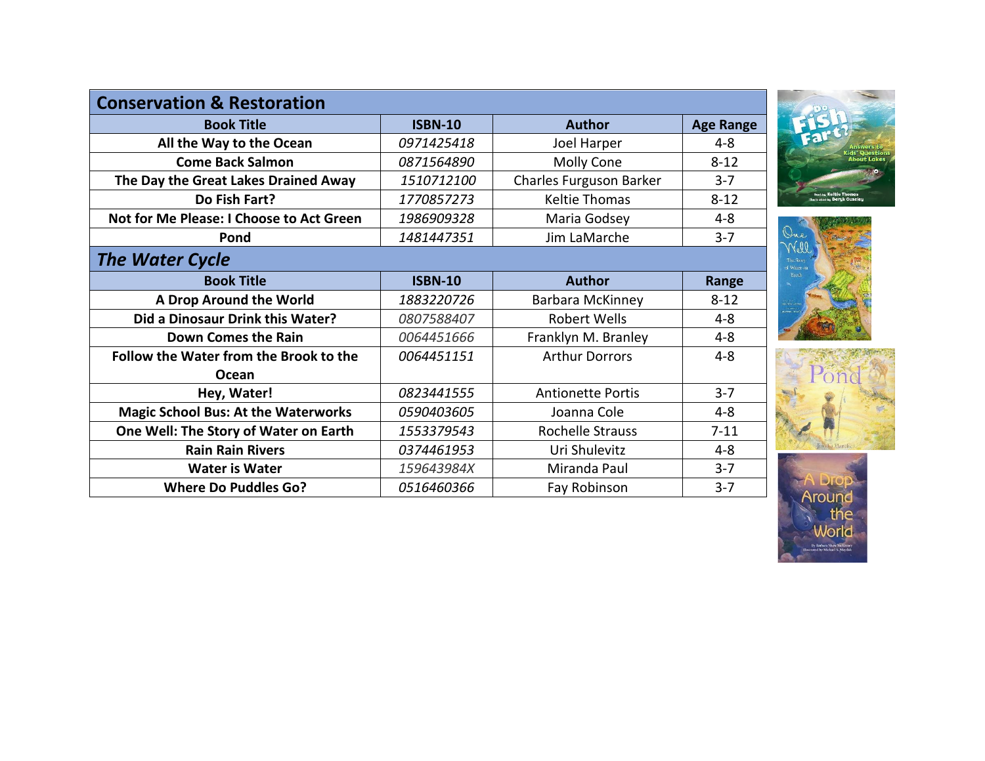| <b>Conservation &amp; Restoration</b>         |                |                          |                  |  |  |  |  |
|-----------------------------------------------|----------------|--------------------------|------------------|--|--|--|--|
| <b>Book Title</b>                             | <b>ISBN-10</b> | <b>Author</b>            | <b>Age Range</b> |  |  |  |  |
| All the Way to the Ocean                      | 0971425418     | Joel Harper              | $4 - 8$          |  |  |  |  |
| <b>Come Back Salmon</b>                       | 0871564890     | Molly Cone               | $8 - 12$         |  |  |  |  |
| The Day the Great Lakes Drained Away          | 1510712100     | Charles Furguson Barker  | $3 - 7$          |  |  |  |  |
| Do Fish Fart?                                 | 1770857273     | <b>Keltie Thomas</b>     | $8 - 12$         |  |  |  |  |
| Not for Me Please: I Choose to Act Green      | 1986909328     | Maria Godsey             | $4 - 8$          |  |  |  |  |
| Pond                                          | 1481447351     | Jim LaMarche             | $3 - 7$          |  |  |  |  |
| <b>The Water Cycle</b>                        |                |                          |                  |  |  |  |  |
| <b>Book Title</b>                             | <b>ISBN-10</b> | <b>Author</b>            | Range            |  |  |  |  |
| A Drop Around the World                       | 1883220726     | <b>Barbara McKinney</b>  | $8 - 12$         |  |  |  |  |
| Did a Dinosaur Drink this Water?              | 0807588407     | Robert Wells             | $4 - 8$          |  |  |  |  |
| <b>Down Comes the Rain</b>                    | 0064451666     | Franklyn M. Branley      | $4 - 8$          |  |  |  |  |
| <b>Follow the Water from the Brook to the</b> | 0064451151     | <b>Arthur Dorrors</b>    | $4 - 8$          |  |  |  |  |
| Ocean                                         |                |                          |                  |  |  |  |  |
| Hey, Water!                                   | 0823441555     | <b>Antionette Portis</b> | $3 - 7$          |  |  |  |  |
| <b>Magic School Bus: At the Waterworks</b>    | 0590403605     | Joanna Cole              | $4 - 8$          |  |  |  |  |
| One Well: The Story of Water on Earth         | 1553379543     | <b>Rochelle Strauss</b>  | $7 - 11$         |  |  |  |  |
| <b>Rain Rain Rivers</b>                       | 0374461953     | Uri Shulevitz            | $4 - 8$          |  |  |  |  |
| <b>Water is Water</b>                         | 159643984X     | Miranda Paul             | $3 - 7$          |  |  |  |  |
| <b>Where Do Puddles Go?</b>                   | 0516460366     | Fay Robinson             | $3 - 7$          |  |  |  |  |







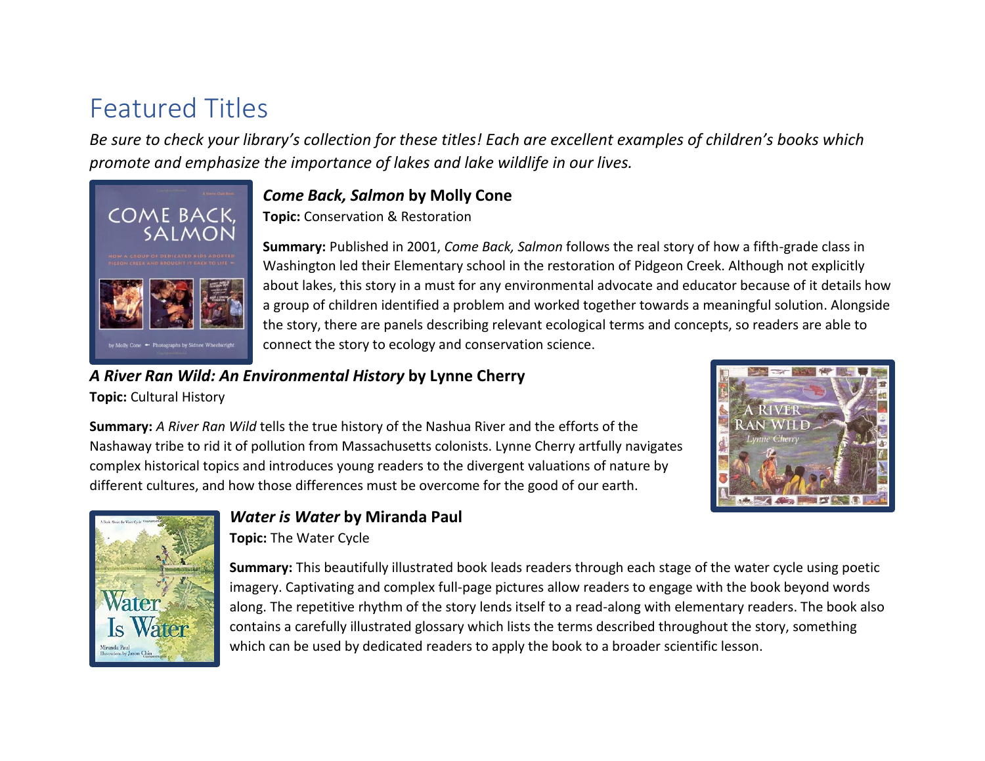## Featured Titles

*Be sure to check your library's collection for these titles! Each are excellent examples of children's books which promote and emphasize the importance of lakes and lake wildlife in our lives.* 



#### *Come Back, Salmon* **by Molly Cone**

**Topic:** Conservation & Restoration

**Summary:** Published in 2001, *Come Back, Salmon* follows the real story of how a fifth-grade class in Washington led their Elementary school in the restoration of Pidgeon Creek. Although not explicitly about lakes, this story in a must for any environmental advocate and educator because of it details how a group of children identified a problem and worked together towards a meaningful solution. Alongside the story, there are panels describing relevant ecological terms and concepts, so readers are able to connect the story to ecology and conservation science.

### *A River Ran Wild: An Environmental History* **by Lynne Cherry**

**Topic:** Cultural History



**Summary:** *A River Ran Wild* tells the true history of the Nashua River and the efforts of the Nashaway tribe to rid it of pollution from Massachusetts colonists. Lynne Cherry artfully navigates complex historical topics and introduces young readers to the divergent valuations of nature by different cultures, and how those differences must be overcome for the good of our earth.



#### *Water is Water* **by Miranda Paul**

**Topic:** The Water Cycle

**Summary:** This beautifully illustrated book leads readers through each stage of the water cycle using poetic imagery. Captivating and complex full-page pictures allow readers to engage with the book beyond words along. The repetitive rhythm of the story lends itself to a read-along with elementary readers. The book also contains a carefully illustrated glossary which lists the terms described throughout the story, something which can be used by dedicated readers to apply the book to a broader scientific lesson.